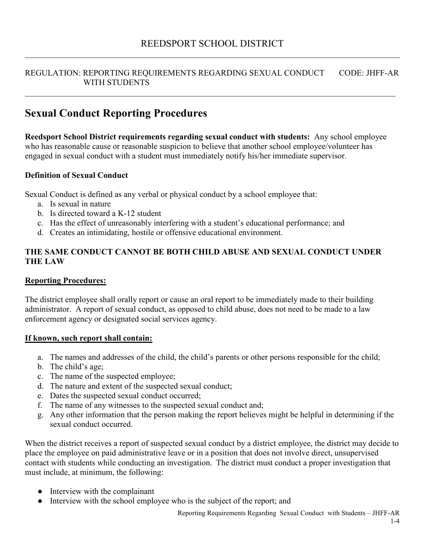#### REGULATION: REPORTING REQUIREMENTS REGARDING SEXUAL CONDUCT CODE: JHFF-AR WITH STUDENTS

 $\_$  , and the set of the set of the set of the set of the set of the set of the set of the set of the set of the set of the set of the set of the set of the set of the set of the set of the set of the set of the set of th

## **Sexual Conduct Reporting Procedures**

**Reedsport School District requirements regarding sexual conduct with students:** Any school employee who has reasonable cause or reasonable suspicion to believe that another school employee/volunteer has engaged in sexual conduct with a student must immediately notify his/her immediate supervisor.

#### **Definition of Sexual Conduct**

Sexual Conduct is defined as any verbal or physical conduct by a school employee that:

- a. Is sexual in nature
- b. Is directed toward a K-12 student
- c. Has the effect of unreasonably interfering with a student's educational performance; and
- d. Creates an intimidating, hostile or offensive educational environment.

#### **THE SAME CONDUCT CANNOT BE BOTH CHILD ABUSE AND SEXUAL CONDUCT UNDER THE LAW**

#### **Reporting Procedures:**

The district employee shall orally report or cause an oral report to be immediately made to their building administrator. A report of sexual conduct, as opposed to child abuse, does not need to be made to a law enforcement agency or designated social services agency.

#### **If known, such report shall contain:**

- a. The names and addresses of the child, the child's parents or other persons responsible for the child;
- b. The child's age;
- c. The name of the suspected employee;
- d. The nature and extent of the suspected sexual conduct;
- e. Dates the suspected sexual conduct occurred;
- f. The name of any witnesses to the suspected sexual conduct and;
- g. Any other information that the person making the report believes might be helpful in determining if the sexual conduct occurred.

When the district receives a report of suspected sexual conduct by a district employee, the district may decide to place the employee on paid administrative leave or in a position that does not involve direct, unsupervised contact with students while conducting an investigation. The district must conduct a proper investigation that must include, at minimum, the following:

- Interview with the complainant
- Interview with the school employee who is the subject of the report; and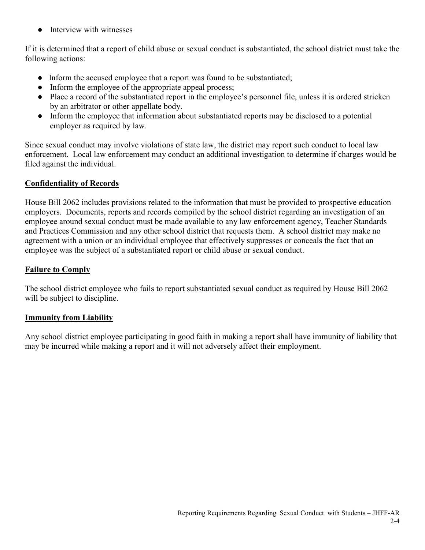**•** Interview with witnesses

If it is determined that a report of child abuse or sexual conduct is substantiated, the school district must take the following actions:

- Inform the accused employee that a report was found to be substantiated;
- Inform the employee of the appropriate appeal process;
- Place a record of the substantiated report in the employee's personnel file, unless it is ordered stricken by an arbitrator or other appellate body.
- Inform the employee that information about substantiated reports may be disclosed to a potential employer as required by law.

Since sexual conduct may involve violations of state law, the district may report such conduct to local law enforcement. Local law enforcement may conduct an additional investigation to determine if charges would be filed against the individual.

### **Confidentiality of Records**

House Bill 2062 includes provisions related to the information that must be provided to prospective education employers. Documents, reports and records compiled by the school district regarding an investigation of an employee around sexual conduct must be made available to any law enforcement agency, Teacher Standards and Practices Commission and any other school district that requests them. A school district may make no agreement with a union or an individual employee that effectively suppresses or conceals the fact that an employee was the subject of a substantiated report or child abuse or sexual conduct.

### **Failure to Comply**

The school district employee who fails to report substantiated sexual conduct as required by House Bill 2062 will be subject to discipline.

### **Immunity from Liability**

Any school district employee participating in good faith in making a report shall have immunity of liability that may be incurred while making a report and it will not adversely affect their employment.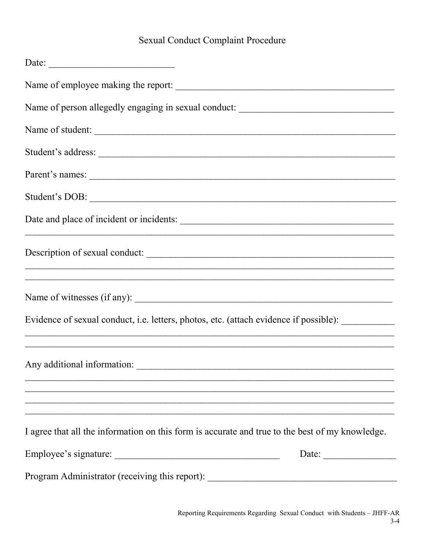# **Sexual Conduct Complaint Procedure**

| Date:                                                                                              |       |
|----------------------------------------------------------------------------------------------------|-------|
| Name of employee making the report:                                                                |       |
| Name of person allegedly engaging in sexual conduct: ____________________________                  |       |
|                                                                                                    |       |
|                                                                                                    |       |
|                                                                                                    |       |
|                                                                                                    |       |
|                                                                                                    |       |
|                                                                                                    |       |
| Name of witnesses (if any):                                                                        |       |
| Evidence of sexual conduct, i.e. letters, photos, etc. (attach evidence if possible): ____________ |       |
| Any additional information:                                                                        |       |
| I agree that all the information on this form is accurate and true to the best of my knowledge.    |       |
| Employee's signature:                                                                              | Date: |
| Program Administrator (receiving this report): __________________________________                  |       |